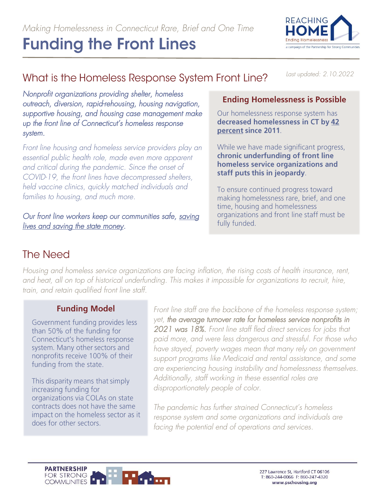

# What is the Homeless Response System Front Line?

*Last updated: 2.10.2022*

*Nonprofit organizations providing shelter, homeless outreach, diversion, rapid-rehousing, housing navigation, supportive housing, and housing case management make up the front line of Connecticut's homeless response system.* 

*Front line housing and homeless service providers play an essential public health role, made even more apparent and critical during the pandemic. Since the onset of COVID-19, the front lines have decompressed shelters, held vaccine clinics, quickly matched individuals and families to housing, and much more.* 

*Our front line workers keep our communities safe, [saving](https://www.pschousing.org/news/analysis-shelter-decompression-prevented-over-1500-covid-infections-connecticut)  [lives and saving the state money.](https://www.pschousing.org/news/analysis-shelter-decompression-prevented-over-1500-covid-infections-connecticut)* 

#### **Ending Homelessness is Possible**

Our homelessness response system has decreased homelessness in CT by 42 percent since 2011.

While we have made significant progress, chronic underfunding of front line homeless service organizations and staff puts this in jeopardy.

To ensure continued progress toward making homelessness rare, brief, and one time, housing and homelessness organizations and front line staff must be fully funded.

### **The Need**

*Housing and homeless service organizations are facing inflation, the rising costs of health insurance, rent, and heat, all on top of historical underfunding. This makes it impossible for organizations to recruit, hire, train, and retain qualified front line staff.*

#### **Funding Model**

Government funding provides less than 50% of the funding for Connecticut's homeless response system. Many other sectors and nonprofits receive 100% of their funding from the state.

This disparity means that simply increasing funding for organizations via COLAs on state contracts does not have the same impact on the homeless sector as it does for other sectors.

*Front line staff are the backbone of the homeless response system; yet, the average turnover rate for homeless service nonprofits in 2021 was 18%. Front line staff fled direct services for jobs that paid more, and were less dangerous and stressful. For those who have stayed, poverty wages mean that many rely on government support programs like Medicaid and rental assistance, and some are experiencing housing instability and homelessness themselves. Additionally, staff working in these essential roles are disproportionately people of color.*

*The pandemic has further strained Connecticut's homeless response system and some organizations and individuals are facing the potential end of operations and services.*